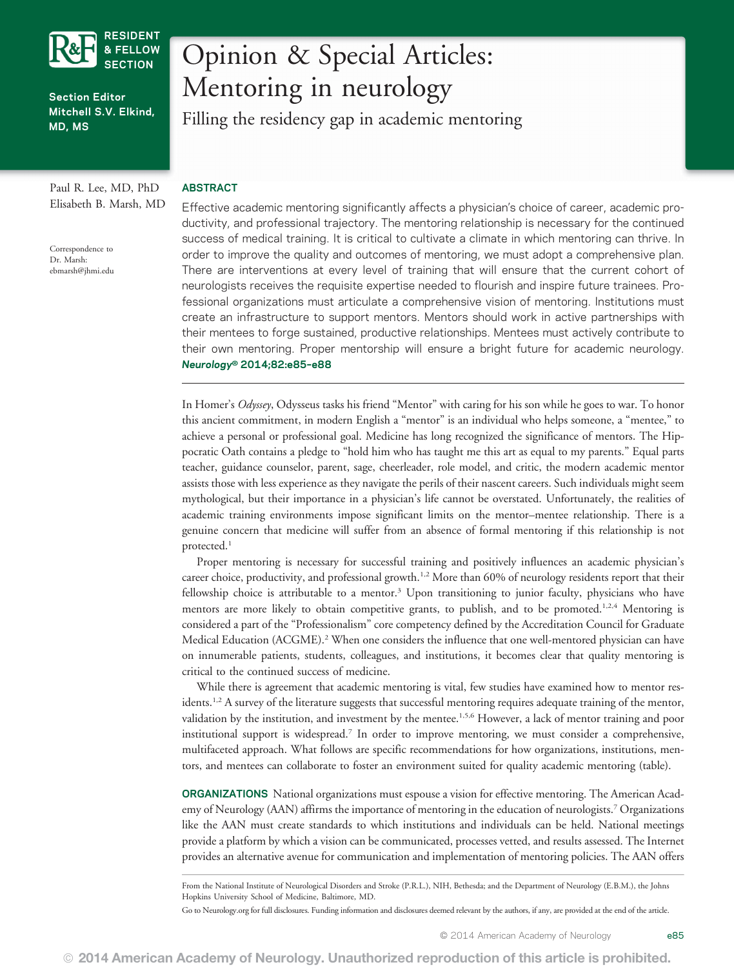

Section Editor Mitchell S.V. Elkind, MD, MS

Paul R. Lee, MD, PhD Elisabeth B. Marsh, MD

Correspondence to Dr. Marsh: [ebmarsh@jhmi.edu](mailto:ebmarsh@jhmi.edu)

# Opinion & Special Articles: Mentoring in neurology

Filling the residency gap in academic mentoring

# ABSTRACT

Effective academic mentoring significantly affects a physician's choice of career, academic productivity, and professional trajectory. The mentoring relationship is necessary for the continued success of medical training. It is critical to cultivate a climate in which mentoring can thrive. In order to improve the quality and outcomes of mentoring, we must adopt a comprehensive plan. There are interventions at every level of training that will ensure that the current cohort of neurologists receives the requisite expertise needed to flourish and inspire future trainees. Professional organizations must articulate a comprehensive vision of mentoring. Institutions must create an infrastructure to support mentors. Mentors should work in active partnerships with their mentees to forge sustained, productive relationships. Mentees must actively contribute to their own mentoring. Proper mentorship will ensure a bright future for academic neurology. Neurology® 2014;82:e85–e88

In Homer's Odyssey, Odysseus tasks his friend "Mentor" with caring for his son while he goes to war. To honor this ancient commitment, in modern English a "mentor" is an individual who helps someone, a "mentee," to achieve a personal or professional goal. Medicine has long recognized the significance of mentors. The Hippocratic Oath contains a pledge to "hold him who has taught me this art as equal to my parents." Equal parts teacher, guidance counselor, parent, sage, cheerleader, role model, and critic, the modern academic mentor assists those with less experience as they navigate the perils of their nascent careers. Such individuals might seem mythological, but their importance in a physician's life cannot be overstated. Unfortunately, the realities of academic training environments impose significant limits on the mentor–mentee relationship. There is a genuine concern that medicine will suffer from an absence of formal mentoring if this relationship is not protected.<sup>1</sup>

Proper mentoring is necessary for successful training and positively influences an academic physician's career choice, productivity, and professional growth.<sup>1,2</sup> More than 60% of neurology residents report that their fellowship choice is attributable to a mentor.<sup>3</sup> Upon transitioning to junior faculty, physicians who have mentors are more likely to obtain competitive grants, to publish, and to be promoted.<sup>1,2,4</sup> Mentoring is considered a part of the "Professionalism" core competency defined by the Accreditation Council for Graduate Medical Education (ACGME).<sup>2</sup> When one considers the influence that one well-mentored physician can have on innumerable patients, students, colleagues, and institutions, it becomes clear that quality mentoring is critical to the continued success of medicine.

While there is agreement that academic mentoring is vital, few studies have examined how to mentor residents.<sup>1,2</sup> A survey of the literature suggests that successful mentoring requires adequate training of the mentor, validation by the institution, and investment by the mentee.1,5,6 However, a lack of mentor training and poor institutional support is widespread.7 In order to improve mentoring, we must consider a comprehensive, multifaceted approach. What follows are specific recommendations for how organizations, institutions, mentors, and mentees can collaborate to foster an environment suited for quality academic mentoring (table).

ORGANIZATIONS National organizations must espouse a vision for effective mentoring. The American Academy of Neurology (AAN) affirms the importance of mentoring in the education of neurologists.7 Organizations like the AAN must create standards to which institutions and individuals can be held. National meetings provide a platform by which a vision can be communicated, processes vetted, and results assessed. The Internet provides an alternative avenue for communication and implementation of mentoring policies. The AAN offers

From the National Institute of Neurological Disorders and Stroke (P.R.L.), NIH, Bethesda; and the Department of Neurology (E.B.M.), the Johns Hopkins University School of Medicine, Baltimore, MD.

Go to [Neurology.org](http://Neurology.org/) for full disclosures. Funding information and disclosures deemed relevant by the authors, if any, are provided at the end of the article.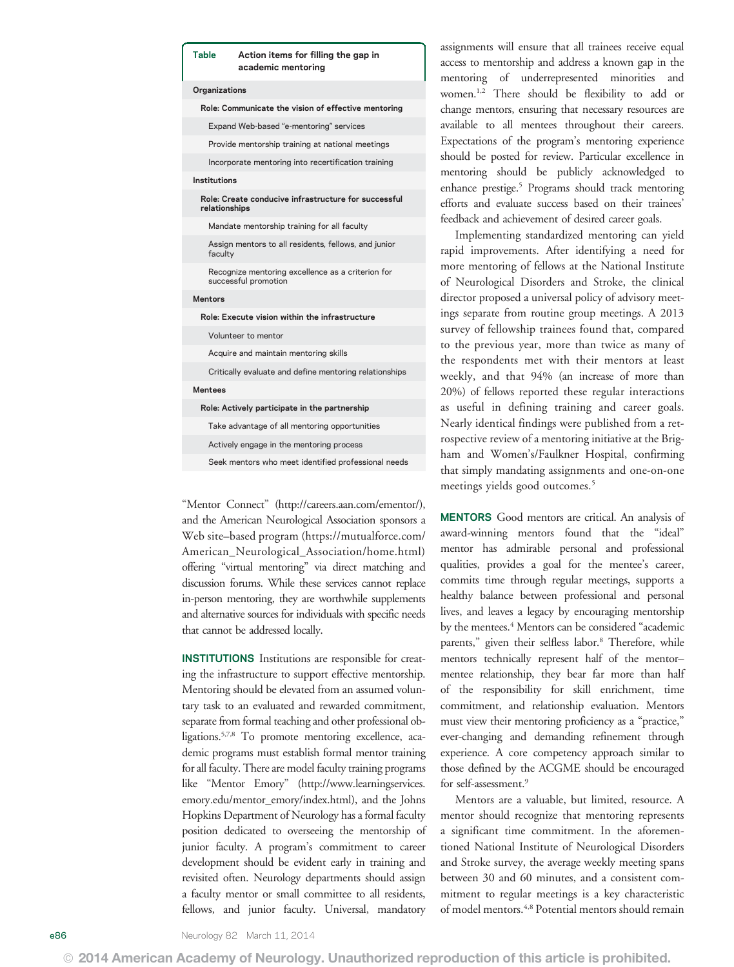# Table Action items for filling the gap in academic mentoring

#### **Organizations**

Role: Communicate the vision of effective mentoring

Expand Web-based "e-mentoring" services

Provide mentorship training at national meetings

Incorporate mentoring into recertification training

## Institutions

Role: Create conducive infrastructure for successful relationships

Mandate mentorship training for all faculty

Assign mentors to all residents, fellows, and junior faculty

Recognize mentoring excellence as a criterion for successful promotion

#### Mentors

Role: Execute vision within the infrastructure

Volunteer to mentor

Acquire and maintain mentoring skills

Critically evaluate and define mentoring relationships

## Mentees

Role: Actively participate in the partnership

Take advantage of all mentoring opportunities

Actively engage in the mentoring process

Seek mentors who meet identified professional needs

"Mentor Connect" [\(http://careers.aan.com/ementor/](http://careers.aan.com/ementor/)), and the American Neurological Association sponsors a Web site–based program ([https://mutualforce.com/](https://mutualforce.com/American_Neurological_Association/home.html) [American\\_Neurological\\_Association/home.html](https://mutualforce.com/American_Neurological_Association/home.html)) offering "virtual mentoring" via direct matching and discussion forums. While these services cannot replace in-person mentoring, they are worthwhile supplements and alternative sources for individuals with specific needs that cannot be addressed locally.

INSTITUTIONS Institutions are responsible for creating the infrastructure to support effective mentorship. Mentoring should be elevated from an assumed voluntary task to an evaluated and rewarded commitment, separate from formal teaching and other professional obligations.5,7,8 To promote mentoring excellence, academic programs must establish formal mentor training for all faculty. There are model faculty training programs like "Mentor Emory" [\(http://www.learningservices.](http://www.learningservices.emory.edu/mentor_emory/index.html) [emory.edu/mentor\\_emory/index.html](http://www.learningservices.emory.edu/mentor_emory/index.html)), and the Johns Hopkins Department of Neurology has a formal faculty position dedicated to overseeing the mentorship of junior faculty. A program's commitment to career development should be evident early in training and revisited often. Neurology departments should assign a faculty mentor or small committee to all residents, fellows, and junior faculty. Universal, mandatory

assignments will ensure that all trainees receive equal access to mentorship and address a known gap in the mentoring of underrepresented minorities and women.1,2 There should be flexibility to add or change mentors, ensuring that necessary resources are available to all mentees throughout their careers. Expectations of the program's mentoring experience should be posted for review. Particular excellence in mentoring should be publicly acknowledged to enhance prestige.<sup>5</sup> Programs should track mentoring efforts and evaluate success based on their trainees' feedback and achievement of desired career goals.

Implementing standardized mentoring can yield rapid improvements. After identifying a need for more mentoring of fellows at the National Institute of Neurological Disorders and Stroke, the clinical director proposed a universal policy of advisory meetings separate from routine group meetings. A 2013 survey of fellowship trainees found that, compared to the previous year, more than twice as many of the respondents met with their mentors at least weekly, and that 94% (an increase of more than 20%) of fellows reported these regular interactions as useful in defining training and career goals. Nearly identical findings were published from a retrospective review of a mentoring initiative at the Brigham and Women's/Faulkner Hospital, confirming that simply mandating assignments and one-on-one meetings yields good outcomes.<sup>5</sup>

MENTORS Good mentors are critical. An analysis of award-winning mentors found that the "ideal" mentor has admirable personal and professional qualities, provides a goal for the mentee's career, commits time through regular meetings, supports a healthy balance between professional and personal lives, and leaves a legacy by encouraging mentorship by the mentees.<sup>4</sup> Mentors can be considered "academic parents," given their selfless labor.<sup>8</sup> Therefore, while mentors technically represent half of the mentor– mentee relationship, they bear far more than half of the responsibility for skill enrichment, time commitment, and relationship evaluation. Mentors must view their mentoring proficiency as a "practice," ever-changing and demanding refinement through experience. A core competency approach similar to those defined by the ACGME should be encouraged for self-assessment.<sup>9</sup>

Mentors are a valuable, but limited, resource. A mentor should recognize that mentoring represents a significant time commitment. In the aforementioned National Institute of Neurological Disorders and Stroke survey, the average weekly meeting spans between 30 and 60 minutes, and a consistent commitment to regular meetings is a key characteristic of model mentors.<sup>4,8</sup> Potential mentors should remain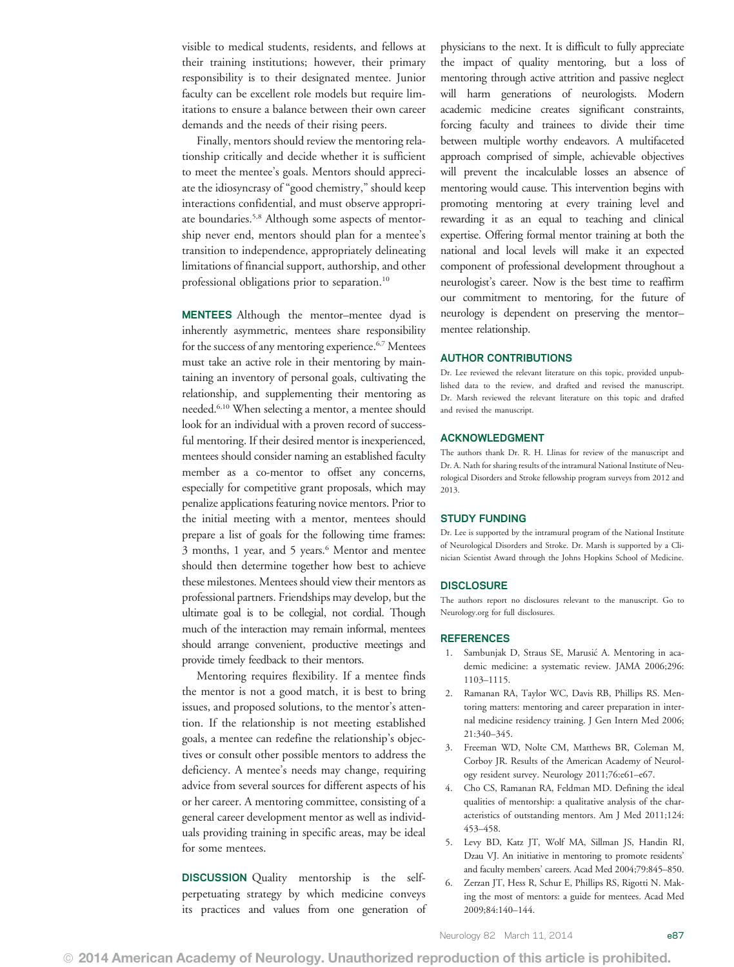visible to medical students, residents, and fellows at their training institutions; however, their primary responsibility is to their designated mentee. Junior faculty can be excellent role models but require limitations to ensure a balance between their own career demands and the needs of their rising peers.

Finally, mentors should review the mentoring relationship critically and decide whether it is sufficient to meet the mentee's goals. Mentors should appreciate the idiosyncrasy of "good chemistry," should keep interactions confidential, and must observe appropriate boundaries.<sup>5,8</sup> Although some aspects of mentorship never end, mentors should plan for a mentee's transition to independence, appropriately delineating limitations of financial support, authorship, and other professional obligations prior to separation.10

MENTEES Although the mentor–mentee dyad is inherently asymmetric, mentees share responsibility for the success of any mentoring experience.<sup>6,7</sup> Mentees must take an active role in their mentoring by maintaining an inventory of personal goals, cultivating the relationship, and supplementing their mentoring as needed.6,10 When selecting a mentor, a mentee should look for an individual with a proven record of successful mentoring. If their desired mentor is inexperienced, mentees should consider naming an established faculty member as a co-mentor to offset any concerns, especially for competitive grant proposals, which may penalize applications featuring novice mentors. Prior to the initial meeting with a mentor, mentees should prepare a list of goals for the following time frames: 3 months, 1 year, and 5 years.<sup>6</sup> Mentor and mentee should then determine together how best to achieve these milestones. Mentees should view their mentors as professional partners. Friendships may develop, but the ultimate goal is to be collegial, not cordial. Though much of the interaction may remain informal, mentees should arrange convenient, productive meetings and provide timely feedback to their mentors.

Mentoring requires flexibility. If a mentee finds the mentor is not a good match, it is best to bring issues, and proposed solutions, to the mentor's attention. If the relationship is not meeting established goals, a mentee can redefine the relationship's objectives or consult other possible mentors to address the deficiency. A mentee's needs may change, requiring advice from several sources for different aspects of his or her career. A mentoring committee, consisting of a general career development mentor as well as individuals providing training in specific areas, may be ideal for some mentees.

DISCUSSION Quality mentorship is the selfperpetuating strategy by which medicine conveys its practices and values from one generation of physicians to the next. It is difficult to fully appreciate the impact of quality mentoring, but a loss of mentoring through active attrition and passive neglect will harm generations of neurologists. Modern academic medicine creates significant constraints, forcing faculty and trainees to divide their time between multiple worthy endeavors. A multifaceted approach comprised of simple, achievable objectives will prevent the incalculable losses an absence of mentoring would cause. This intervention begins with promoting mentoring at every training level and rewarding it as an equal to teaching and clinical expertise. Offering formal mentor training at both the national and local levels will make it an expected component of professional development throughout a neurologist's career. Now is the best time to reaffirm our commitment to mentoring, for the future of neurology is dependent on preserving the mentor– mentee relationship.

# AUTHOR CONTRIBUTIONS

Dr. Lee reviewed the relevant literature on this topic, provided unpublished data to the review, and drafted and revised the manuscript. Dr. Marsh reviewed the relevant literature on this topic and drafted and revised the manuscript.

# ACKNOWLEDGMENT

The authors thank Dr. R. H. Llinas for review of the manuscript and Dr. A. Nath for sharing results of the intramural National Institute of Neurological Disorders and Stroke fellowship program surveys from 2012 and 2013.

## STUDY FUNDING

Dr. Lee is supported by the intramural program of the National Institute of Neurological Disorders and Stroke. Dr. Marsh is supported by a Clinician Scientist Award through the Johns Hopkins School of Medicine.

# **DISCLOSURE**

The authors report no disclosures relevant to the manuscript. Go to [Neurology.org](http://Neurology.org/) for full disclosures.

# REFERENCES

- 1. Sambunjak D, Straus SE, Marusic A. Mentoring in academic medicine: a systematic review. JAMA 2006;296: 1103–1115.
- 2. Ramanan RA, Taylor WC, Davis RB, Phillips RS. Mentoring matters: mentoring and career preparation in internal medicine residency training. J Gen Intern Med 2006; 21:340–345.
- 3. Freeman WD, Nolte CM, Matthews BR, Coleman M, Corboy JR. Results of the American Academy of Neurology resident survey. Neurology 2011;76:e61–e67.
- 4. Cho CS, Ramanan RA, Feldman MD. Defining the ideal qualities of mentorship: a qualitative analysis of the characteristics of outstanding mentors. Am J Med 2011;124: 453–458.
- 5. Levy BD, Katz JT, Wolf MA, Sillman JS, Handin RI, Dzau VJ. An initiative in mentoring to promote residents' and faculty members' careers. Acad Med 2004;79:845–850.
- 6. Zerzan JT, Hess R, Schur E, Phillips RS, Rigotti N. Making the most of mentors: a guide for mentees. Acad Med 2009;84:140–144.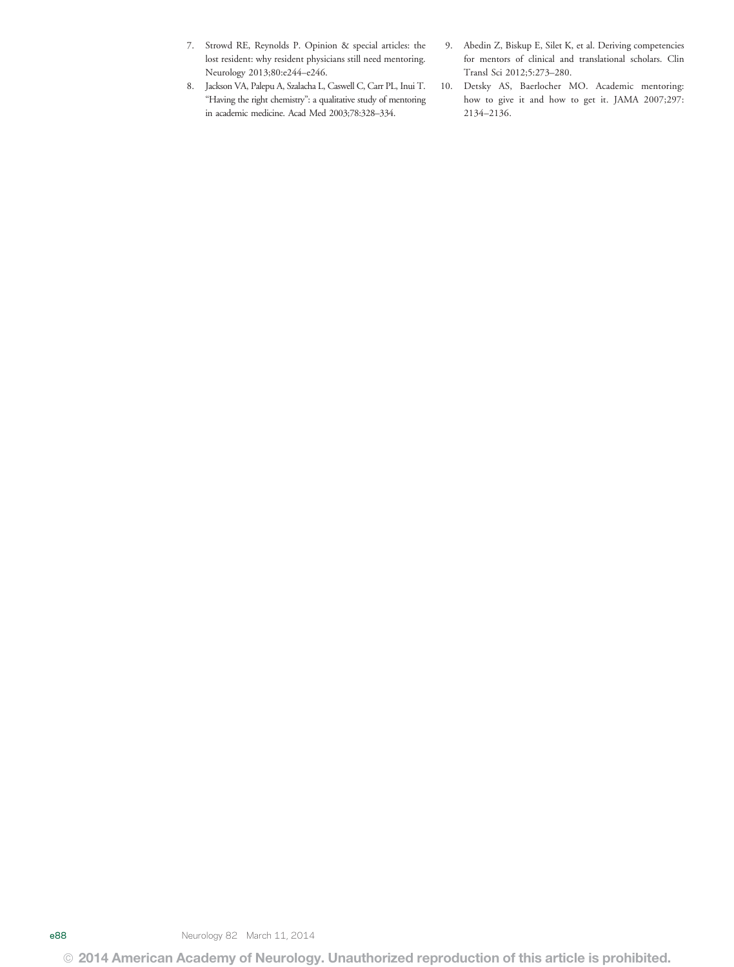- 7. Strowd RE, Reynolds P. Opinion & special articles: the lost resident: why resident physicians still need mentoring. Neurology 2013;80:e244–e246.
- 8. Jackson VA, Palepu A, Szalacha L, Caswell C, Carr PL, Inui T. "Having the right chemistry": a qualitative study of mentoring in academic medicine. Acad Med 2003;78:328–334.
- 9. Abedin Z, Biskup E, Silet K, et al. Deriving competencies for mentors of clinical and translational scholars. Clin Transl Sci 2012;5:273–280.
- 10. Detsky AS, Baerlocher MO. Academic mentoring: how to give it and how to get it. JAMA 2007;297: 2134–2136.